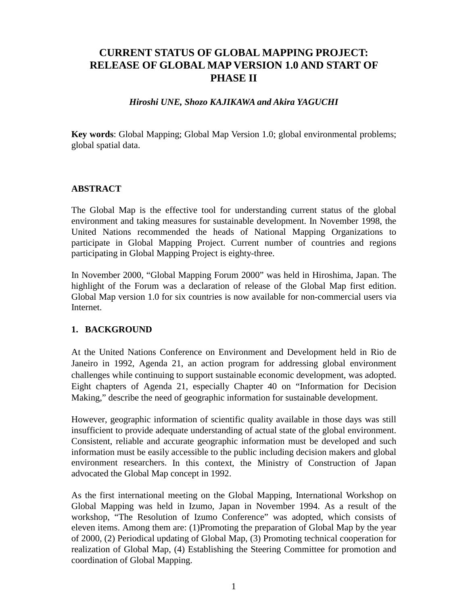# **CURRENT STATUS OF GLOBAL MAPPING PROJECT: RELEASE OF GLOBAL MAP VERSION 1.0 AND START OF PHASE II**

#### *Hiroshi UNE, Shozo KAJIKAWA and Akira YAGUCHI*

**Key words**: Global Mapping; Global Map Version 1.0; global environmental problems; global spatial data.

### **ABSTRACT**

The Global Map is the effective tool for understanding current status of the global environment and taking measures for sustainable development. In November 1998, the United Nations recommended the heads of National Mapping Organizations to participate in Global Mapping Project. Current number of countries and regions participating in Global Mapping Project is eighty-three.

In November 2000, "Global Mapping Forum 2000" was held in Hiroshima, Japan. The highlight of the Forum was a declaration of release of the Global Map first edition. Global Map version 1.0 for six countries is now available for non-commercial users via Internet.

#### **1. BACKGROUND**

At the United Nations Conference on Environment and Development held in Rio de Janeiro in 1992, Agenda 21, an action program for addressing global environment challenges while continuing to support sustainable economic development, was adopted. Eight chapters of Agenda 21, especially Chapter 40 on "Information for Decision Making," describe the need of geographic information for sustainable development.

However, geographic information of scientific quality available in those days was still insufficient to provide adequate understanding of actual state of the global environment. Consistent, reliable and accurate geographic information must be developed and such information must be easily accessible to the public including decision makers and global environment researchers. In this context, the Ministry of Construction of Japan advocated the Global Map concept in 1992.

As the first international meeting on the Global Mapping, International Workshop on Global Mapping was held in Izumo, Japan in November 1994. As a result of the workshop, "The Resolution of Izumo Conference" was adopted, which consists of eleven items. Among them are: (1)Promoting the preparation of Global Map by the year of 2000, (2) Periodical updating of Global Map, (3) Promoting technical cooperation for realization of Global Map, (4) Establishing the Steering Committee for promotion and coordination of Global Mapping.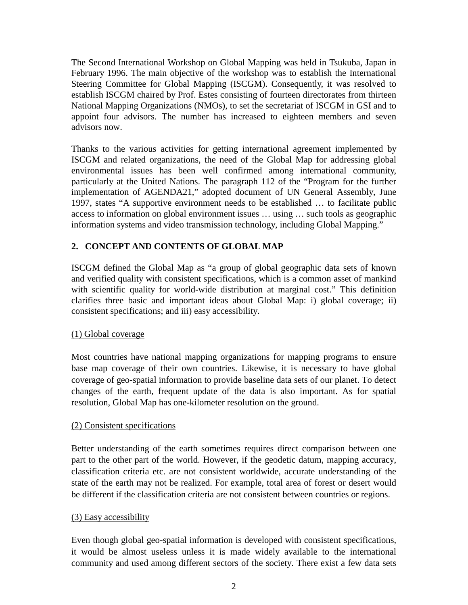The Second International Workshop on Global Mapping was held in Tsukuba, Japan in February 1996. The main objective of the workshop was to establish the International Steering Committee for Global Mapping (ISCGM). Consequently, it was resolved to establish ISCGM chaired by Prof. Estes consisting of fourteen directorates from thirteen National Mapping Organizations (NMOs), to set the secretariat of ISCGM in GSI and to appoint four advisors. The number has increased to eighteen members and seven advisors now.

Thanks to the various activities for getting international agreement implemented by ISCGM and related organizations, the need of the Global Map for addressing global environmental issues has been well confirmed among international community, particularly at the United Nations. The paragraph 112 of the "Program for the further implementation of AGENDA21," adopted document of UN General Assembly, June 1997, states "A supportive environment needs to be established … to facilitate public access to information on global environment issues … using … such tools as geographic information systems and video transmission technology, including Global Mapping."

### **2. CONCEPT AND CONTENTS OF GLOBAL MAP**

ISCGM defined the Global Map as "a group of global geographic data sets of known and verified quality with consistent specifications, which is a common asset of mankind with scientific quality for world-wide distribution at marginal cost." This definition clarifies three basic and important ideas about Global Map: i) global coverage; ii) consistent specifications; and iii) easy accessibility.

#### (1) Global coverage

Most countries have national mapping organizations for mapping programs to ensure base map coverage of their own countries. Likewise, it is necessary to have global coverage of geo-spatial information to provide baseline data sets of our planet. To detect changes of the earth, frequent update of the data is also important. As for spatial resolution, Global Map has one-kilometer resolution on the ground.

#### (2) Consistent specifications

Better understanding of the earth sometimes requires direct comparison between one part to the other part of the world. However, if the geodetic datum, mapping accuracy, classification criteria etc. are not consistent worldwide, accurate understanding of the state of the earth may not be realized. For example, total area of forest or desert would be different if the classification criteria are not consistent between countries or regions.

#### (3) Easy accessibility

Even though global geo-spatial information is developed with consistent specifications, it would be almost useless unless it is made widely available to the international community and used among different sectors of the society. There exist a few data sets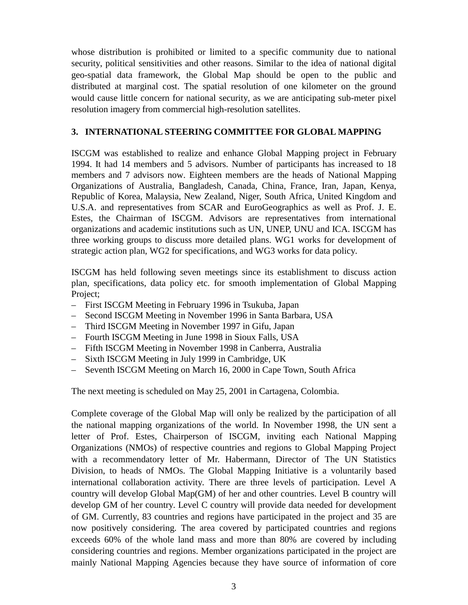whose distribution is prohibited or limited to a specific community due to national security, political sensitivities and other reasons. Similar to the idea of national digital geo-spatial data framework, the Global Map should be open to the public and distributed at marginal cost. The spatial resolution of one kilometer on the ground would cause little concern for national security, as we are anticipating sub-meter pixel resolution imagery from commercial high-resolution satellites.

### **3. INTERNATIONAL STEERING COMMITTEE FOR GLOBAL MAPPING**

ISCGM was established to realize and enhance Global Mapping project in February 1994. It had 14 members and 5 advisors. Number of participants has increased to 18 members and 7 advisors now. Eighteen members are the heads of National Mapping Organizations of Australia, Bangladesh, Canada, China, France, Iran, Japan, Kenya, Republic of Korea, Malaysia, New Zealand, Niger, South Africa, United Kingdom and U.S.A. and representatives from SCAR and EuroGeographics as well as Prof. J. E. Estes, the Chairman of ISCGM. Advisors are representatives from international organizations and academic institutions such as UN, UNEP, UNU and ICA. ISCGM has three working groups to discuss more detailed plans. WG1 works for development of strategic action plan, WG2 for specifications, and WG3 works for data policy.

ISCGM has held following seven meetings since its establishment to discuss action plan, specifications, data policy etc. for smooth implementation of Global Mapping Project;

- First ISCGM Meeting in February 1996 in Tsukuba, Japan
- Second ISCGM Meeting in November 1996 in Santa Barbara, USA
- Third ISCGM Meeting in November 1997 in Gifu, Japan
- Fourth ISCGM Meeting in June 1998 in Sioux Falls, USA
- Fifth ISCGM Meeting in November 1998 in Canberra, Australia
- Sixth ISCGM Meeting in July 1999 in Cambridge, UK
- Seventh ISCGM Meeting on March 16, 2000 in Cape Town, South Africa

The next meeting is scheduled on May 25, 2001 in Cartagena, Colombia.

Complete coverage of the Global Map will only be realized by the participation of all the national mapping organizations of the world. In November 1998, the UN sent a letter of Prof. Estes, Chairperson of ISCGM, inviting each National Mapping Organizations (NMOs) of respective countries and regions to Global Mapping Project with a recommendatory letter of Mr. Habermann, Director of The UN Statistics Division, to heads of NMOs. The Global Mapping Initiative is a voluntarily based international collaboration activity. There are three levels of participation. Level A country will develop Global Map(GM) of her and other countries. Level B country will develop GM of her country. Level C country will provide data needed for development of GM. Currently, 83 countries and regions have participated in the project and 35 are now positively considering. The area covered by participated countries and regions exceeds 60% of the whole land mass and more than 80% are covered by including considering countries and regions. Member organizations participated in the project are mainly National Mapping Agencies because they have source of information of core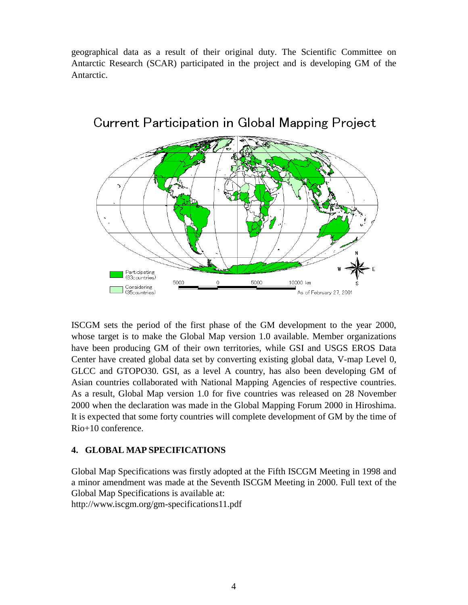geographical data as a result of their original duty. The Scientific Committee on Antarctic Research (SCAR) participated in the project and is developing GM of the Antarctic.



**Current Participation in Global Mapping Project** 

ISCGM sets the period of the first phase of the GM development to the year 2000, whose target is to make the Global Map version 1.0 available. Member organizations have been producing GM of their own territories, while GSI and USGS EROS Data Center have created global data set by converting existing global data, V-map Level 0, GLCC and GTOPO30. GSI, as a level A country, has also been developing GM of Asian countries collaborated with National Mapping Agencies of respective countries. As a result, Global Map version 1.0 for five countries was released on 28 November 2000 when the declaration was made in the Global Mapping Forum 2000 in Hiroshima. It is expected that some forty countries will complete development of GM by the time of Rio+10 conference.

#### **4. GLOBAL MAP SPECIFICATIONS**

Global Map Specifications was firstly adopted at the Fifth ISCGM Meeting in 1998 and a minor amendment was made at the Seventh ISCGM Meeting in 2000. Full text of the Global Map Specifications is available at: http://www.iscgm.org/gm-specifications11.pdf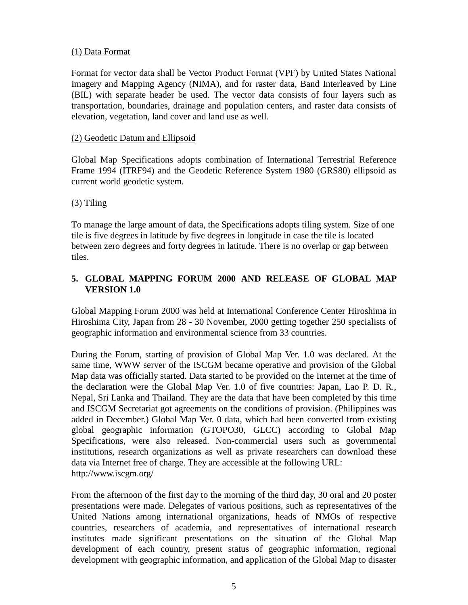### (1) Data Format

Format for vector data shall be Vector Product Format (VPF) by United States National Imagery and Mapping Agency (NIMA), and for raster data, Band Interleaved by Line (BIL) with separate header be used. The vector data consists of four layers such as transportation, boundaries, drainage and population centers, and raster data consists of elevation, vegetation, land cover and land use as well.

#### (2) Geodetic Datum and Ellipsoid

Global Map Specifications adopts combination of International Terrestrial Reference Frame 1994 (ITRF94) and the Geodetic Reference System 1980 (GRS80) ellipsoid as current world geodetic system.

### (3) Tiling

To manage the large amount of data, the Specifications adopts tiling system. Size of one tile is five degrees in latitude by five degrees in longitude in case the tile is located between zero degrees and forty degrees in latitude. There is no overlap or gap between tiles.

# **5. GLOBAL MAPPING FORUM 2000 AND RELEASE OF GLOBAL MAP VERSION 1.0**

Global Mapping Forum 2000 was held at International Conference Center Hiroshima in Hiroshima City, Japan from 28 - 30 November, 2000 getting together 250 specialists of geographic information and environmental science from 33 countries.

During the Forum, starting of provision of Global Map Ver. 1.0 was declared. At the same time, WWW server of the ISCGM became operative and provision of the Global Map data was officially started. Data started to be provided on the Internet at the time of the declaration were the Global Map Ver. 1.0 of five countries: Japan, Lao P. D. R., Nepal, Sri Lanka and Thailand. They are the data that have been completed by this time and ISCGM Secretariat got agreements on the conditions of provision. (Philippines was added in December.) Global Map Ver. 0 data, which had been converted from existing global geographic information (GTOPO30, GLCC) according to Global Map Specifications, were also released. Non-commercial users such as governmental institutions, research organizations as well as private researchers can download these data via Internet free of charge. They are accessible at the following URL: http://www.iscgm.org/

From the afternoon of the first day to the morning of the third day, 30 oral and 20 poster presentations were made. Delegates of various positions, such as representatives of the United Nations among international organizations, heads of NMOs of respective countries, researchers of academia, and representatives of international research institutes made significant presentations on the situation of the Global Map development of each country, present status of geographic information, regional development with geographic information, and application of the Global Map to disaster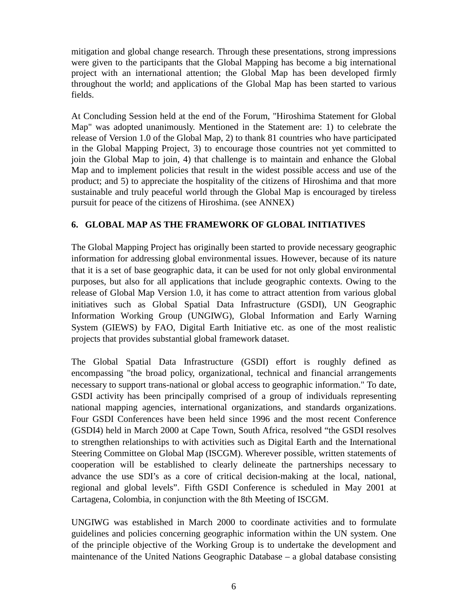mitigation and global change research. Through these presentations, strong impressions were given to the participants that the Global Mapping has become a big international project with an international attention; the Global Map has been developed firmly throughout the world; and applications of the Global Map has been started to various fields.

At Concluding Session held at the end of the Forum, "Hiroshima Statement for Global Map" was adopted unanimously. Mentioned in the Statement are: 1) to celebrate the release of Version 1.0 of the Global Map, 2) to thank 81 countries who have participated in the Global Mapping Project, 3) to encourage those countries not yet committed to join the Global Map to join, 4) that challenge is to maintain and enhance the Global Map and to implement policies that result in the widest possible access and use of the product; and 5) to appreciate the hospitality of the citizens of Hiroshima and that more sustainable and truly peaceful world through the Global Map is encouraged by tireless pursuit for peace of the citizens of Hiroshima. (see ANNEX)

# **6. GLOBAL MAP AS THE FRAMEWORK OF GLOBAL INITIATIVES**

The Global Mapping Project has originally been started to provide necessary geographic information for addressing global environmental issues. However, because of its nature that it is a set of base geographic data, it can be used for not only global environmental purposes, but also for all applications that include geographic contexts. Owing to the release of Global Map Version 1.0, it has come to attract attention from various global initiatives such as Global Spatial Data Infrastructure (GSDI), UN Geographic Information Working Group (UNGIWG), Global Information and Early Warning System (GIEWS) by FAO, Digital Earth Initiative etc. as one of the most realistic projects that provides substantial global framework dataset.

The Global Spatial Data Infrastructure (GSDI) effort is roughly defined as encompassing "the broad policy, organizational, technical and financial arrangements necessary to support trans-national or global access to geographic information." To date, GSDI activity has been principally comprised of a group of individuals representing national mapping agencies, international organizations, and standards organizations. Four GSDI Conferences have been held since 1996 and the most recent Conference (GSDI4) held in March 2000 at Cape Town, South Africa, resolved "the GSDI resolves to strengthen relationships to with activities such as Digital Earth and the International Steering Committee on Global Map (ISCGM). Wherever possible, written statements of cooperation will be established to clearly delineate the partnerships necessary to advance the use SDI's as a core of critical decision-making at the local, national, regional and global levels". Fifth GSDI Conference is scheduled in May 2001 at Cartagena, Colombia, in conjunction with the 8th Meeting of ISCGM.

UNGIWG was established in March 2000 to coordinate activities and to formulate guidelines and policies concerning geographic information within the UN system. One of the principle objective of the Working Group is to undertake the development and maintenance of the United Nations Geographic Database – a global database consisting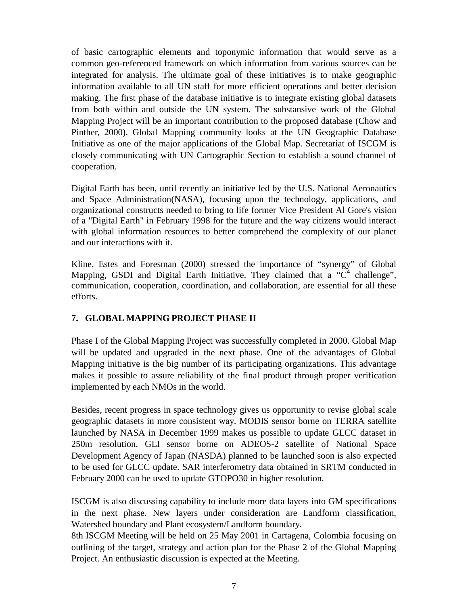of basic cartographic elements and toponymic information that would serve as a common geo-referenced framework on which information from various sources can be integrated for analysis. The ultimate goal of these initiatives is to make geographic information available to all UN staff for more efficient operations and better decision making. The first phase of the database initiative is to integrate existing global datasets from both within and outside the UN system. The substansive work of the Global Mapping Project will be an important contribution to the proposed database (Chow and Pinther, 2000). Global Mapping community looks at the UN Geographic Database Initiative as one of the major applications of the Global Map. Secretariat of ISCGM is closely communicating with UN Cartographic Section to establish a sound channel of cooperation.

Digital Earth has been, until recently an initiative led by the U.S. National Aeronautics and Space Administration(NASA), focusing upon the technology, applications, and organizational constructs needed to bring to life former Vice President Al Gore's vision of a "Digital Earth" in February 1998 for the future and the way citizens would interact with global information resources to better comprehend the complexity of our planet and our interactions with it.

Kline, Estes and Foresman (2000) stressed the importance of "synergy" of Global Mapping, GSDI and Digital Earth Initiative. They claimed that a " $C<sup>4</sup>$  challenge", communication, cooperation, coordination, and collaboration, are essential for all these efforts.

## **7. GLOBAL MAPPING PROJECT PHASE II**

Phase I of the Global Mapping Project was successfully completed in 2000. Global Map will be updated and upgraded in the next phase. One of the advantages of Global Mapping initiative is the big number of its participating organizations. This advantage makes it possible to assure reliability of the final product through proper verification implemented by each NMOs in the world.

Besides, recent progress in space technology gives us opportunity to revise global scale geographic datasets in more consistent way. MODIS sensor borne on TERRA satellite launched by NASA in December 1999 makes us possible to update GLCC dataset in 250m resolution. GLI sensor borne on ADEOS-2 satellite of National Space Development Agency of Japan (NASDA) planned to be launched soon is also expected to be used for GLCC update. SAR interferometry data obtained in SRTM conducted in February 2000 can be used to update GTOPO30 in higher resolution.

ISCGM is also discussing capability to include more data layers into GM specifications in the next phase. New layers under consideration are Landform classification, Watershed boundary and Plant ecosystem/Landform boundary.

8th ISCGM Meeting will be held on 25 May 2001 in Cartagena, Colombia focusing on outlining of the target, strategy and action plan for the Phase 2 of the Global Mapping Project. An enthusiastic discussion is expected at the Meeting.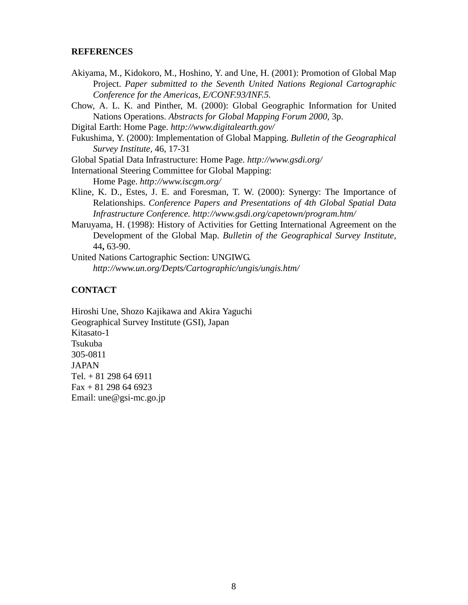#### **REFERENCES**

- Akiyama, M., Kidokoro, M., Hoshino, Y. and Une, H. (2001): Promotion of Global Map Project. *Paper submitted to the Seventh United Nations Regional Cartographic Conference for the Americas, E/CONF.93/INF.5.*
- Chow, A. L. K. and Pinther, M. (2000): Global Geographic Information for United Nations Operations. *Abstracts for Global Mapping Forum 2000,* 3p.
- Digital Earth: Home Page. *http://www.digitalearth.gov/*
- Fukushima, Y. (2000): Implementation of Global Mapping. *Bulletin of the Geographical Survey Institute,* 46, 17-31
- Global Spatial Data Infrastructure: Home Page. *http://www.gsdi.org/*
- International Steering Committee for Global Mapping:

Home Page. *http://www.iscgm.org/*

- Kline, K. D., Estes, J. E. and Foresman, T. W. (2000): Synergy: The Importance of Relationships. *Conference Papers and Presentations of 4th Global Spatial Data Infrastructure Conference. http://www.gsdi.org/capetown/program.htm/*
- Maruyama, H. (1998): History of Activities for Getting International Agreement on the Development of the Global Map. *Bulletin of the Geographical Survey Institute,* 44**,** 63-90.
- United Nations Cartographic Section: UNGIWG. *http://www.un.org/Depts/Cartographic/ungis/ungis.htm/*

## **CONTACT**

Hiroshi Une, Shozo Kajikawa and Akira Yaguchi Geographical Survey Institute (GSI), Japan Kitasato-1 Tsukuba 305-0811 **JAPAN** Tel. + 81 298 64 6911  $Fax + 81 298 64 6923$ Email: une@gsi-mc.go.jp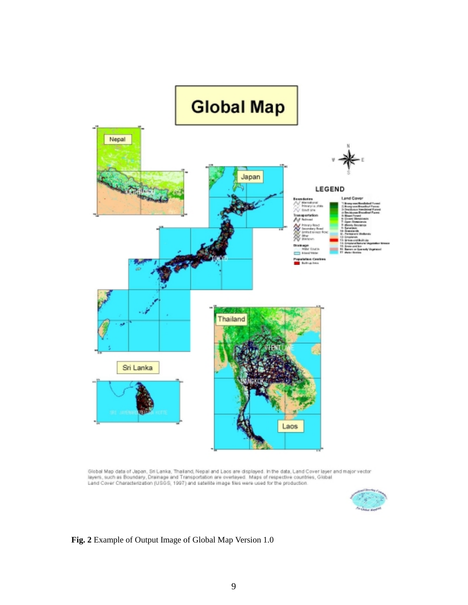

Global Map data of Japan, Sri Lanka, Thailand, Nepal and Laos are displayed. In the data, Land Cover layer and major vector<br>layers, such as Boundary, Drainage and Transportation are overlayed. Maps of respective countries,



**Fig. 2** Example of Output Image of Global Map Version 1.0